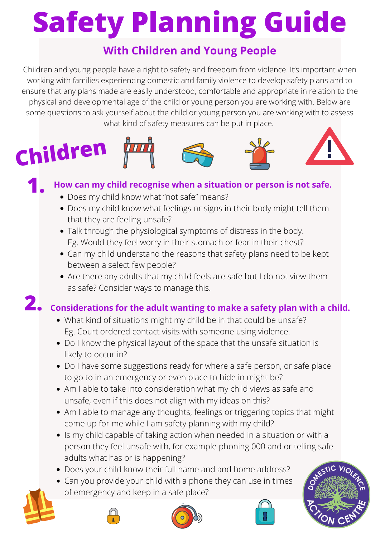Children and young people have a right to safety and freedom from violence. It's important when working with families experiencing domestic and family violence to develop safety plans and to ensure that any plans made are easily understood, comfortable and appropriate in relation to the physical and developmental age of the child or young person you are working with. Below are some questions to ask yourself about the child or young person you are working with to assess what kind of safety measures can be put in place.

- Does my child know what "not safe" means?
- Does my child know what feelings or signs in their body might tell them that they are feeling unsafe?
- Talk through the physiological symptoms of distress in the body. Eg. Would they feel worry in their stomach or fear in their chest?
- Can my child understand the reasons that safety plans need to be kept between a select few people?
- Are there any adults that my child feels are safe but I do not view them

as safe? Consider ways to manage this.

# **Safety Planning Guide**

## **With Children and Young People**



### **1. How can my child recognise when a situation or person is not safe.**

## **2. Considerations for the adult wanting to make a safety plan with a child.**

- What kind of situations might my child be in that could be unsafe? Eg. Court ordered contact visits with someone using violence.
- Do I know the physical layout of the space that the unsafe situation is likely to occur in?
- Do I have some suggestions ready for where a safe person, or safe place to go to in an emergency or even place to hide in might be?
- Am I able to take into consideration what my child views as safe and unsafe, even if this does not align with my ideas on this?
- Am I able to manage any thoughts, feelings or triggering topics that might come up for me while I am safety planning with my child?
- Is my child capable of taking action when needed in a situation or with a person they feel unsafe with, for example phoning 000 and or telling safe adults what has or is happening?
- Does your child know their full name and and home address?
- Can you provide your child with a phone they can use in times of emergency and keep in a safe place?









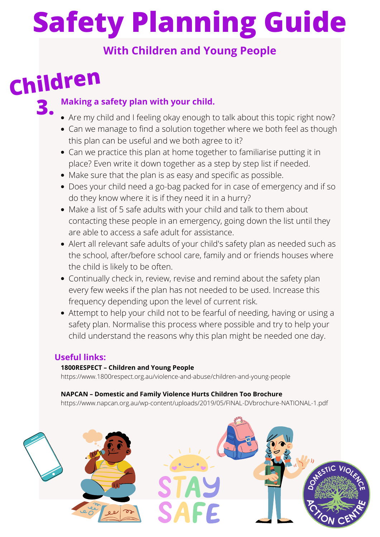- Are my child and I feeling okay enough to talk about this topic right now?
- Can we manage to find a solution together where we both feel as though this plan can be useful and we both agree to it?
- Can we practice this plan at home together to familiarise putting it in place? Even write it down together as a step by step list if needed.
- Make sure that the plan is as easy and specific as possible.
- Does your child need a go-bag packed for in case of emergency and if so do they know where it is if they need it in a hurry?
- Make a list of 5 safe adults with your child and talk to them about contacting these people in an emergency, going down the list until they are able to access a safe adult for assistance.
- Alert all relevant safe adults of your child's safety plan as needed such as the school, after/before school care, family and or friends houses where the child is likely to be often.
- Continually check in, review, revise and remind about the safety plan every few weeks if the plan has not needed to be used. Increase this frequency depending upon the level of current risk.
- Attempt to help your child not to be fearful of needing, having or using a safety plan. Normalise this process where possible and try to help your child understand the reasons why this plan might be needed one day.

### **3. Making a safety plan with your child.**

# **Children**

### **Useful links:**

#### **1800RESPECT – Children and Young People**

<https://www.1800respect.org.au/violence-and-abuse/children-and-young-people>

#### **NAPCAN – Domestic and Family Violence Hurts Children Too Brochure**

<https://www.napcan.org.au/wp-content/uploads/2019/05/FINAL-DVbrochure-NATIONAL-1.pdf>



# **Safety Planning Guide**

# **With Children and Young People**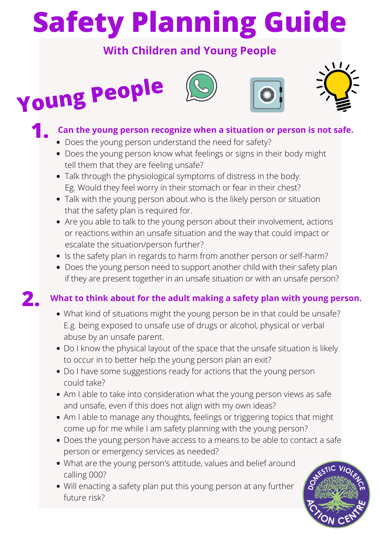- Does the young person understand the need for safety?
- Does the young person know what feelings or signs in their body might tell them that they are feeling unsafe?
- Talk through the physiological symptoms of distress in the body. Eg. Would they feel worry in their stomach or fear in their chest?
- Talk with the young person about who is the likely person or situation that the safety plan is required for.
- Are you able to talk to the young person about their involvement, actions or reactions within an unsafe situation and the way that could impact or escalate the situation/person further?
- Is the safety plan in regards to harm from another person or self-harm?
- Does the young person need to support another child with their safety plan if they are present together in an unsafe situation or with an unsafe person?









## **1. Can the young person recognize when a situation or person is not safe.**

### **2. What to think about for the adult making a safety plan with young person.**

- What kind of situations might the young person be in that could be unsafe? E.g. being exposed to unsafe use of drugs or alcohol, physical or verbal abuse by an unsafe parent.
- Do I know the physical layout of the space that the unsafe situation is likely to occur in to better help the young person plan an exit?
- Do I have some suggestions ready for actions that the young person could take?
- Am I able to take into consideration what the young person views as safe and unsafe, even if this does not align with my own ideas?
- Am I able to manage any thoughts, feelings or triggering topics that might come up for me while I am safety planning with the young person?
- Does the young person have access to a means to be able to contact a safe person or emergency services as needed?
- What are the young person's attitude, values and belief around calling 000?
- Will enacting a safety plan put this young person at any further future risk?



# **Safety Planning Guide**

# **With Children and Young People**